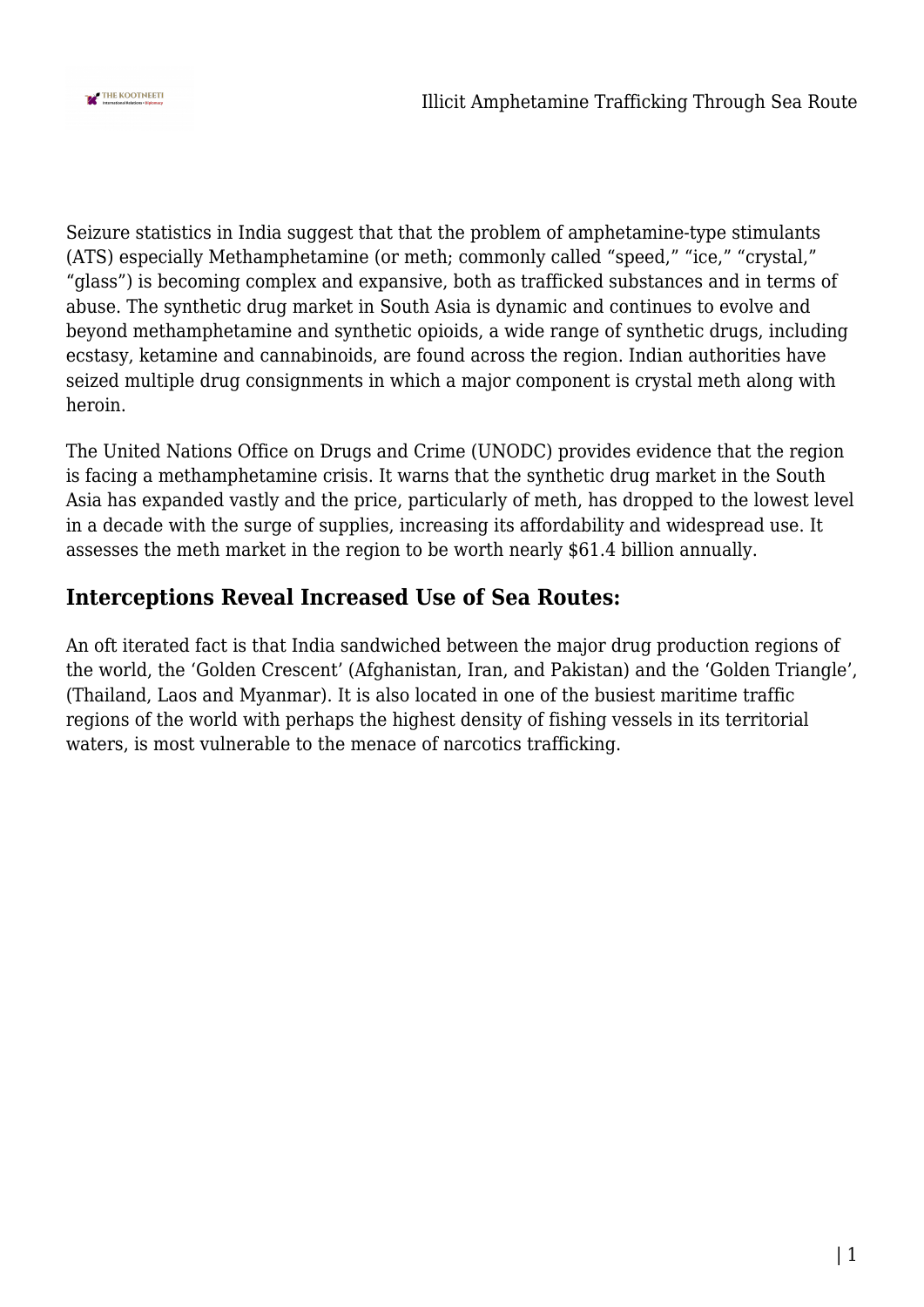

Seizure statistics in India suggest that that the problem of amphetamine-type stimulants (ATS) especially Methamphetamine (or meth; commonly called "speed," "ice," "crystal," "glass") is becoming complex and expansive, both as trafficked substances and in terms of abuse. The synthetic drug market in South Asia is dynamic and continues to evolve and beyond methamphetamine and synthetic opioids, a wide range of synthetic drugs, including ecstasy, ketamine and cannabinoids, are found across the region. Indian authorities have seized multiple drug consignments in which a major component is crystal meth along with heroin.

The United Nations Office on Drugs and Crime (UNODC) provides evidence that the region is facing a methamphetamine crisis. It warns that the synthetic drug market in the South Asia has expanded vastly and the price, particularly of meth, has dropped to the lowest level in a decade with the surge of supplies, increasing its affordability and widespread use. It assesses the meth market in the region to be worth nearly \$61.4 billion annually.

## **Interceptions Reveal Increased Use of Sea Routes:**

An oft iterated fact is that India sandwiched between the major drug production regions of the world, the 'Golden Crescent' (Afghanistan, Iran, and Pakistan) and the 'Golden Triangle', (Thailand, Laos and Myanmar). It is also located in one of the busiest maritime traffic regions of the world with perhaps the highest density of fishing vessels in its territorial waters, is most vulnerable to the menace of narcotics trafficking.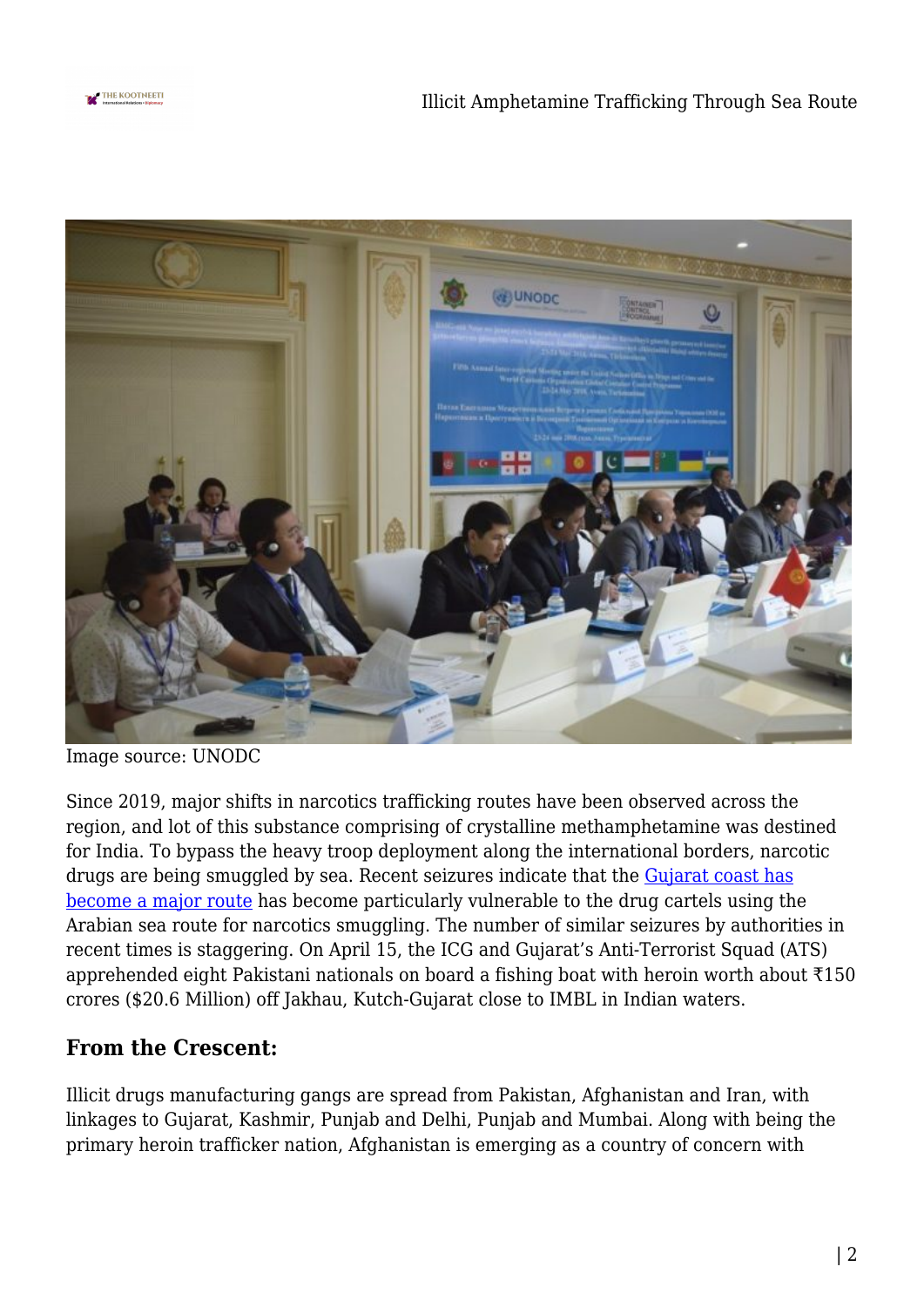



Image source: UNODC

Since 2019, major shifts in narcotics trafficking routes have been observed across the region, and lot of this substance comprising of crystalline methamphetamine was destined for India. To bypass the heavy troop deployment along the international borders, narcotic drugs are being smuggled by sea. Recent seizures indicate that the [Gujarat coast has](https://www.thehindu.com/news/national/8-pakistan-men-held-with-drugs-in-sea/article34323676.ece) [become a major route](https://www.thehindu.com/news/national/8-pakistan-men-held-with-drugs-in-sea/article34323676.ece) has become particularly vulnerable to the drug cartels using the Arabian sea route for narcotics smuggling. The number of similar seizures by authorities in recent times is staggering. On April 15, the ICG and Gujarat's Anti-Terrorist Squad (ATS) apprehended eight Pakistani nationals on board a fishing boat with heroin worth about ₹150 crores (\$20.6 Million) off Jakhau, Kutch-Gujarat close to IMBL in Indian waters.

## **From the Crescent:**

Illicit drugs manufacturing gangs are spread from Pakistan, Afghanistan and Iran, with linkages to Gujarat, Kashmir, Punjab and Delhi, Punjab and Mumbai. Along with being the primary heroin trafficker nation, Afghanistan is emerging as a country of concern with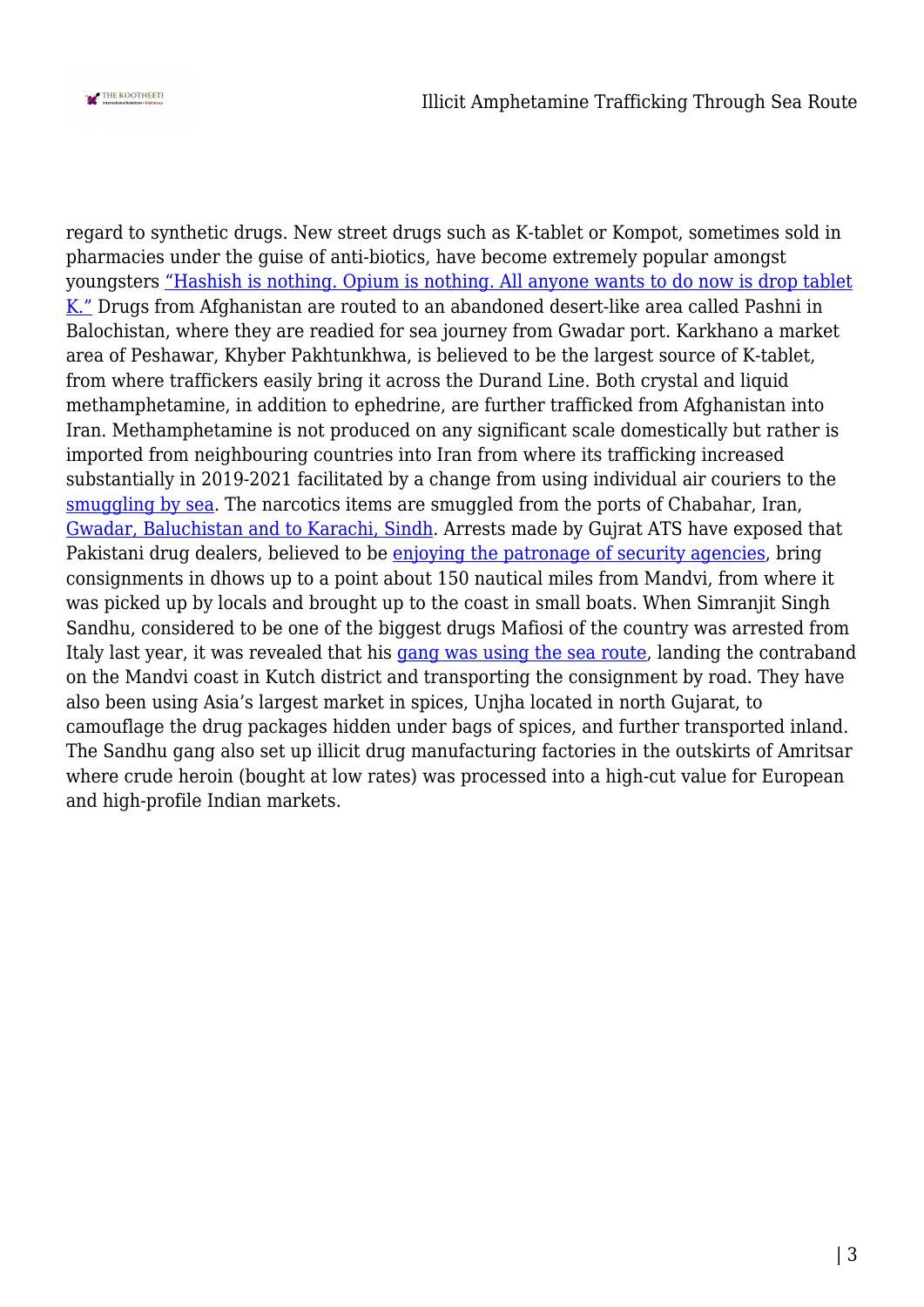

regard to synthetic drugs. New street drugs such as K-tablet or Kompot, sometimes sold in pharmacies under the guise of anti-biotics, have become extremely popular amongst youngsters ["Hashish is nothing. Opium is nothing. All anyone wants to do now is drop tablet](https://www.aljazeera.com/features/2019/7/21/its-something-we-use-for-fun-a-new-street-drug-in-afghanistan) [K."](https://www.aljazeera.com/features/2019/7/21/its-something-we-use-for-fun-a-new-street-drug-in-afghanistan) Drugs from Afghanistan are routed to an abandoned desert-like area called Pashni in Balochistan, where they are readied for sea journey from Gwadar port. Karkhano a market area of Peshawar, Khyber Pakhtunkhwa, is believed to be the largest source of K-tablet, from where traffickers easily bring it across the Durand Line. Both crystal and liquid methamphetamine, in addition to ephedrine, are further trafficked from Afghanistan into Iran. Methamphetamine is not produced on any significant scale domestically but rather is imported from neighbouring countries into Iran from where its trafficking increased substantially in 2019-2021 facilitated by a change from using individual air couriers to the [smuggling by sea](https://www.emcdda.europa.eu/system/files/publications/13703/EU4MD_Methamphetamine-situation-in-Iran_final.pdf). The narcotics items are smuggled from the ports of Chabahar, Iran, [Gwadar, Baluchistan and to Karachi, Sindh](https://www.ndtv.com/india-news/surveillance-up-along-gujarat-coastline-over-new-pattern-of-drug-trade-2279101). Arrests made by Gujrat ATS have exposed that Pakistani drug dealers, believed to be [enjoying the patronage of security agencies](https://www.tribuneindia.com/news/features/afghan-heroin-via-pak-to-gujarat-then-punjab-hidden-in-spices-38028), bring consignments in dhows up to a point about 150 nautical miles from Mandvi, from where it was picked up by locals and brought up to the coast in small boats. When Simranjit Singh Sandhu, considered to be one of the biggest drugs Mafiosi of the country was arrested from Italy last year, it was revealed that his [gang was using the sea route,](https://www.tribuneindia.com/news/features/sea-corridor-new-smuggling-route-38032) landing the contraband on the Mandvi coast in Kutch district and transporting the consignment by road. They have also been using Asia's largest market in spices, Unjha located in north Gujarat, to camouflage the drug packages hidden under bags of spices, and further transported inland. The Sandhu gang also set up illicit drug manufacturing factories in the outskirts of Amritsar where crude heroin (bought at low rates) was processed into a high-cut value for European and high-profile Indian markets.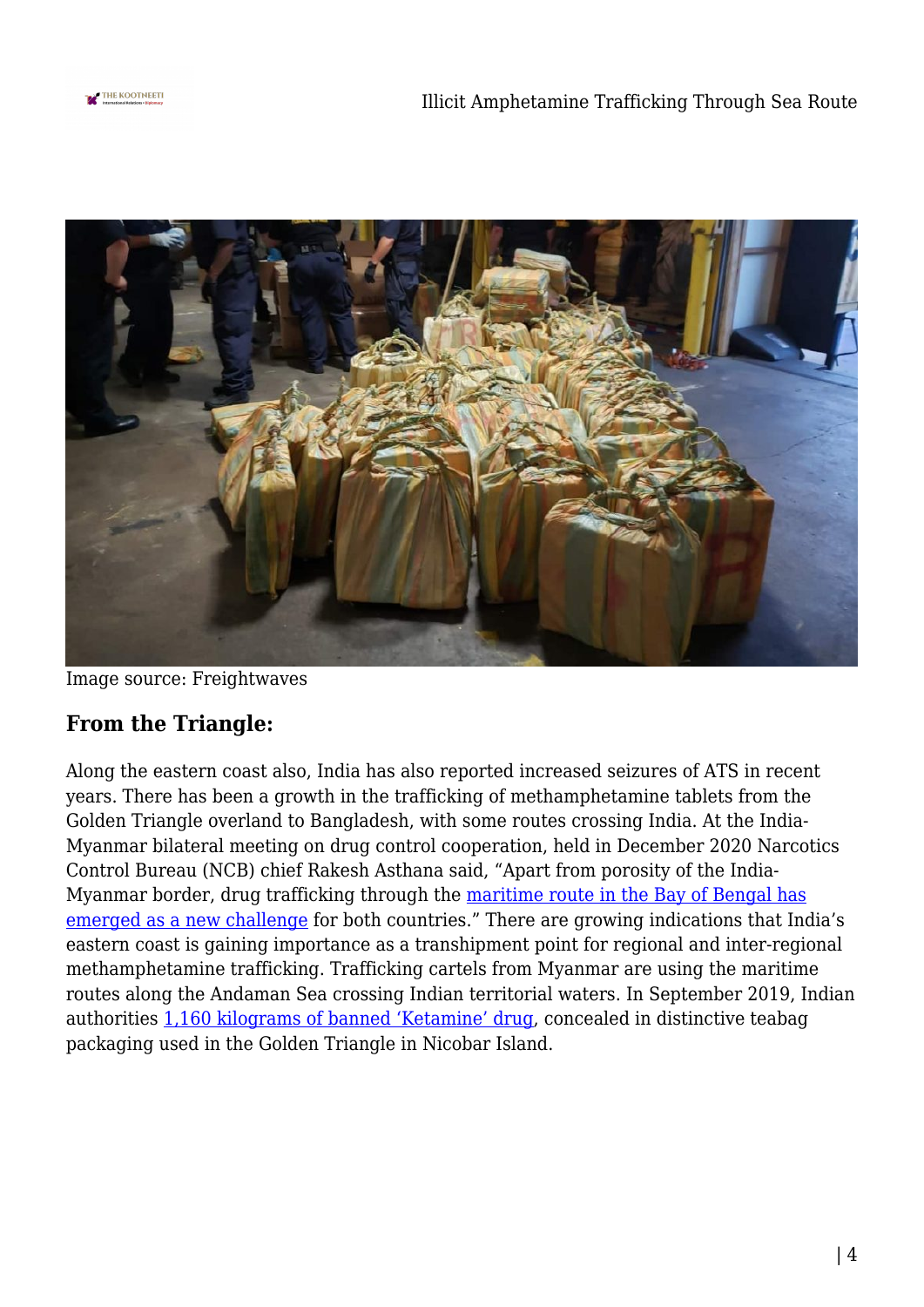



Image source: Freightwaves

## **From the Triangle:**

Along the eastern coast also, India has also reported increased seizures of ATS in recent years. There has been a growth in the trafficking of methamphetamine tablets from the Golden Triangle overland to Bangladesh, with some routes crossing India. At the India-Myanmar bilateral meeting on drug control cooperation, held in December 2020 Narcotics Control Bureau (NCB) chief Rakesh Asthana said, "Apart from porosity of the India-Myanmar border, drug trafficking through the [maritime route in the Bay of Bengal has](https://www.newindianexpress.com/nation/2020/dec/11/narco-trafficking-through-bay-of-bengal-maritime-route-a-new-challenge-ncb-chief-rakesh-asthana-2234952.html) [emerged as a new challenge](https://www.newindianexpress.com/nation/2020/dec/11/narco-trafficking-through-bay-of-bengal-maritime-route-a-new-challenge-ncb-chief-rakesh-asthana-2234952.html) for both countries." There are growing indications that India's eastern coast is gaining importance as a transhipment point for regional and inter-regional methamphetamine trafficking. Trafficking cartels from Myanmar are using the maritime routes along the Andaman Sea crossing Indian territorial waters. In September 2019, Indian authorities [1,160 kilograms of banned 'Ketamine' drug,](https://www.indiatoday.in/india/story/indian-coast-guard-catches-major-drugs-haul-andaman-sea-1601625-2019-09-21) concealed in distinctive teabag packaging used in the Golden Triangle in Nicobar Island.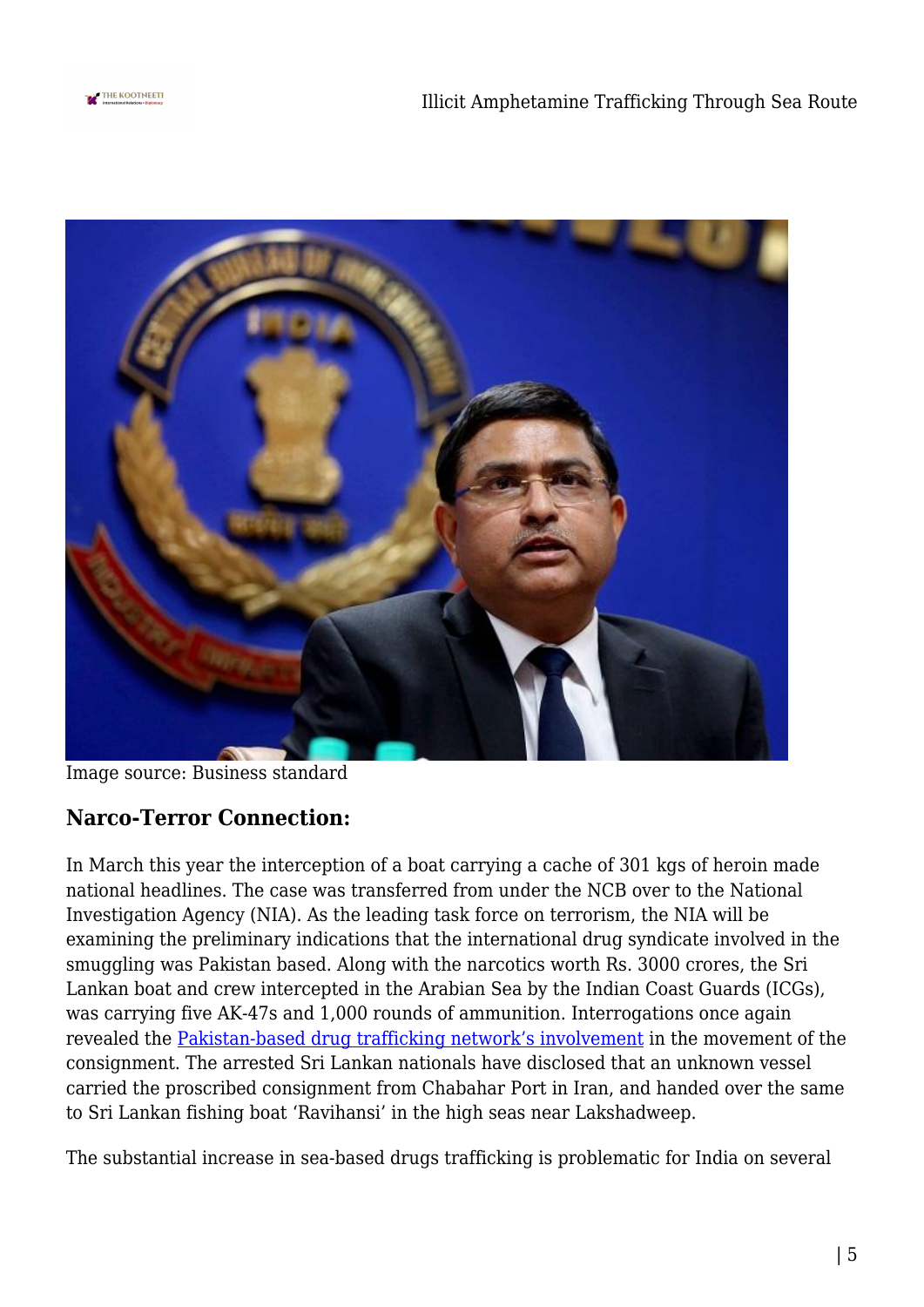



Image source: Business standard

## **Narco-Terror Connection:**

In March this year the interception of a boat carrying a cache of 301 kgs of heroin made national headlines. The case was transferred from under the NCB over to the National Investigation Agency (NIA). As the leading task force on terrorism, the NIA will be examining the preliminary indications that the international drug syndicate involved in the smuggling was Pakistan based. Along with the narcotics worth Rs. 3000 crores, the Sri Lankan boat and crew intercepted in the Arabian Sea by the Indian Coast Guards (ICGs), was carrying five AK-47s and 1,000 rounds of ammunition. Interrogations once again revealed the [Pakistan-based drug trafficking network's involvement](https://economictimes.indiatimes.com/news/politics-and-nation/nia-to-probe-pakistan-link-in-drug-seizure-off-kerala-coast/articleshow/82557806.cms) in the movement of the consignment. The arrested Sri Lankan nationals have disclosed that an unknown vessel carried the proscribed consignment from Chabahar Port in Iran, and handed over the same to Sri Lankan fishing boat 'Ravihansi' in the high seas near Lakshadweep.

The substantial increase in sea-based drugs trafficking is problematic for India on several